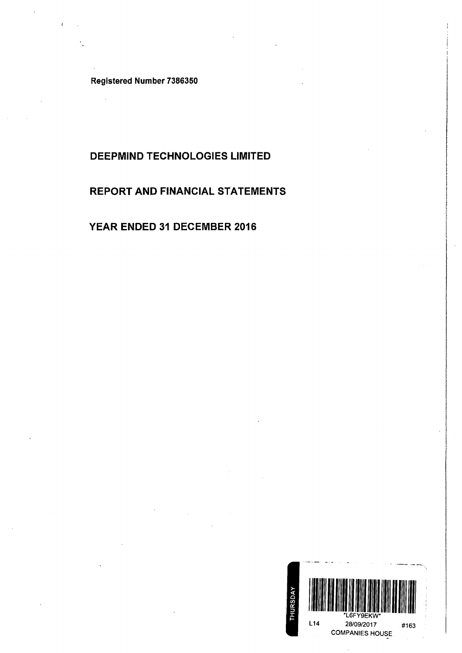Registered Number 7386350

## DEEPMIND TECHNOLOGIES LIMITED

## REPORT AND FINANCIAL STATEMENTS

YEAR ENDED 31 DECEMBER 2016

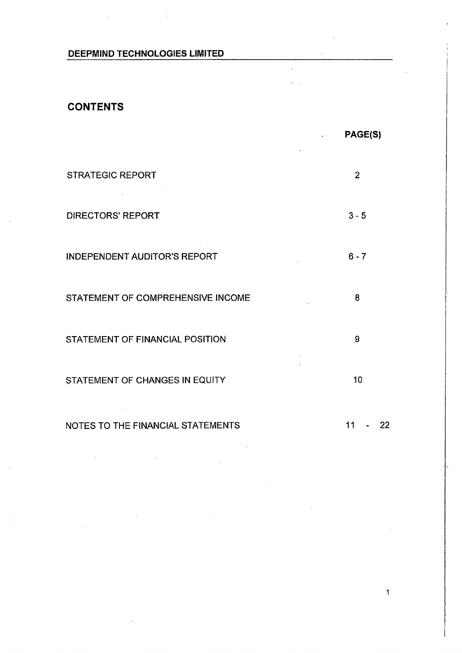## DEEPMIND TECHNOLOGIES LIMITED<br>And Linux Limited Andrews Contract Contract Contract Contract Contract Contract Contract Contract Contract Contract Contract Contract Contract Contract Contract Contract Contract Contract Cont

 $\sim$   $\sim$ 

## CONTENTS

 $\sim$ 

|                                     | PAGE(S)        |
|-------------------------------------|----------------|
| <b>STRATEGIC REPORT</b>             | $\overline{2}$ |
| <b>DIRECTORS' REPORT</b>            | $3 - 5$        |
| <b>INDEPENDENT AUDITOR'S REPORT</b> | $6 - 7$        |
| STATEMENT OF COMPREHENSIVE INCOME   | 8              |
| STATEMENT OF FINANCIAL POSITION     | 9              |
| STATEMENT OF CHANGES IN EQUITY      | 10             |
|                                     |                |

 $\mathcal{L}^{\mathcal{L}}$ 

 $\mathcal{L}_{\text{max}}$ 

NOTES TO THE FINANCIAL STATEMENTS  $11 - 22$ 

 $\label{eq:2.1} \mathcal{L}(\mathcal{L}^{\mathcal{L}}_{\mathcal{L}}(\mathcal{L}^{\mathcal{L}}_{\mathcal{L}})) = \mathcal{L}(\mathcal{L}^{\mathcal{L}}_{\mathcal{L}}(\mathcal{L}^{\mathcal{L}}_{\mathcal{L}})) = \mathcal{L}(\mathcal{L}^{\mathcal{L}}_{\mathcal{L}}(\mathcal{L}^{\mathcal{L}}_{\mathcal{L}}))$ 

 $\sim 10$ 

 $\mathbf{1}$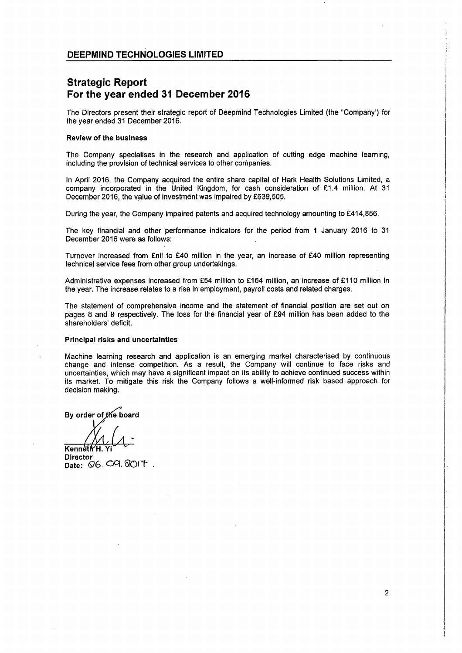## Strategic Report For the year ended 31 December 2016

The Directors present their strategic report of Deepmind Technologies Limited (the "Company') for the year ended 31 December 2016.

#### Review of the business

The Company specialises in the research and application of cutting edge machine leaming, including the provision of technical services to other companies.

In April 2016, the Company acquired the entire share capital of Hark Health Solutions Limited, a company incorporated in the United Kingdom, for cash consideration of £1.4 million. At 31 December 2016, the value of investmént was impaired by £639,505.

During the year, the Company impaired patents and acquired technology amounting to £414,856.

The key financial and other performance indicators for the period from <sup>1</sup> January 2016 to 31 December 2016 were as follows:

Turnover increased from Enil to £40 milllon in the year, an increase of £40 million representing technical service fees from other group undertakings.

Administrative expenses increased from £54 million to £164 million, an increase of £110 million In the year. The increase relates to a rise in employment, payroll costs and related charges.

The statement of comprehensive income and the statement of financial position are set out on pages 8 and 9 respectively. The joss for the financial year of £94 million has been added to the shareholders' deficit.

#### Principal risks and uncertainties

Machine learning research and application is an emerging market characterised by continuous change and intense competition. As a result, the Company will continue to face risks and uncertainties, which may have a significant impact on its ability to achieve continued success within its market. To mitigate this risk the Company follows a well-informed risk based approach for decision making.

By order of fhe board "

**Director** Kenneth H. Yi<br>Director<br>Date: 06.09. 0017.

 $\frac{1}{1}$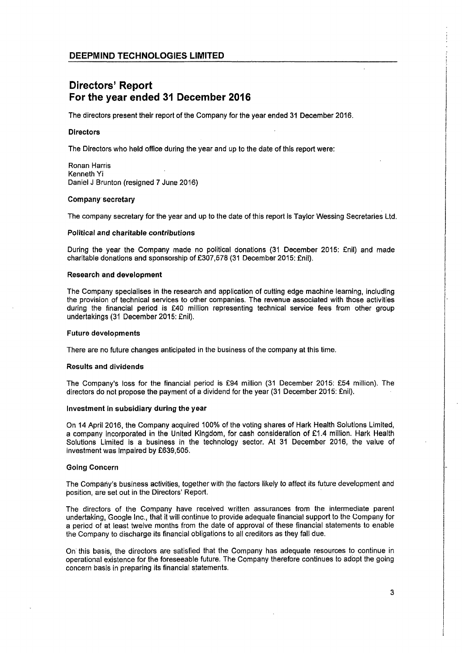## Directors' Report For the year ended 31 December 2016

The directors present their report of the Company for the year ended 31 December 2016.

## **Directors**

The Directors who held office during the year and up to the date of this report were:

Ronan Harris Kenneth Yi Daniel <sup>J</sup> Brunton (resigned 7 June 2016)

#### Company secretary

The company secretary for the year and up to the date of this report is Taylor Wessing Secretaries Ltd.

#### Political and charitable contributions

During the year the Company made no political donations (31 December 2015: £nil) and made charitable donations and sponsorship of £307,578 (31 December 2015: Enil).

#### Research and development

The Company specialises in the research and application of cutting edge machine learning, including the provision of technical services to other companies. The revenue associated with those activities during the financial period is £40 million representing technical service fees from other group undertakings (31 December 2015: £nil).

#### Future developments

There are no future changes anticipated in the business of the company at this time.

#### Results and dividends

The Company's loss for the financial period is £94 million (31 December 2015: £54 million). The directors do not propose the payment of a dividend for the year (31 December 2015: £nil).

## Investment in subsidiary during the year

On 14 April 2016, the Company acquired 100% of the voting shares of Hark Health Solutions Limited, a company incorporated in the United Kingdom, for cash consideration of £1.4 million. Hark Health Solutions Limited is a business in the technology sector. At 31 December 2016, the value of investment was Impaired by £639,505.

#### Going Concern

The Company's business activities, together with the factors likely to affect its future development and position, are set out in the Directors' Report.

The directors of the Company have received written assurances from the intermediate parent undertaking, Google Inc., that it will continue to provide adequate financial support to the Company for a period of at least twelve months from the date of approval of these financial statements to enable the Company to discharge its financial obligations to all creditors as they fall due.

On this basis, the directors are satisfied that the Company has adequate resources to continue in operational existence for the foreseeable future. The Company therefore continues to adopt the going concern basis in preparing its financial statements.

j.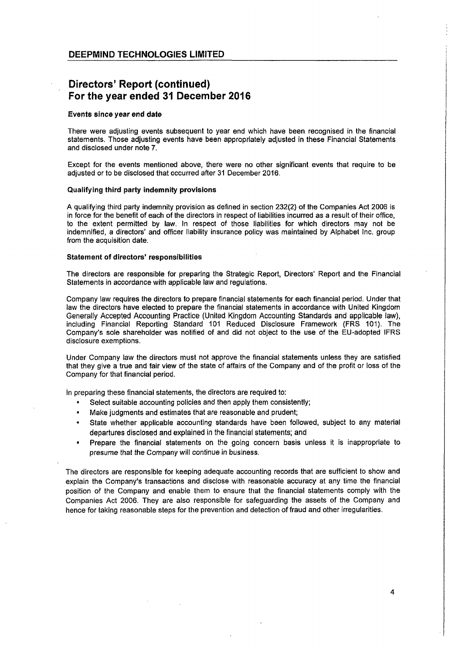## Directors' Report (continued) For the year ended 31 December 2016

### Events since year end date

There were adjusting events subsequent to year end which have been recognised in the financial statements. Those adjusting events have been appropriately adjusted in these Financial Statements and disclosed under note 7.

Except for the events mentioned above, there were no other significant events that require to be adjusted or to be disclosed that occurred after 31 December 2016.

#### Qualifying third party indemnity provisions

A qualifying third party indemnity provision as defined in section 232(2) of the Companies Act 2006is in force for the benefit of each of the directors in respect of liabilities incurred as a result of their office, to the extent permitted by law. In respect of those liabilities for which directors may not be indemnified, a directors' and officer liability insurance policy was maintained by Alphabet Inc. group from the acquisition date.

#### Statement of directors' responsibilities

The directors are responsible for preparing the Strategic Report, Directors' Report and the Financial Statements in accordance with applicable law and regulations.

Company law requires the directors to prepare financial statements for each financial period. Under that law the directors have elected to prepare the financial statements in accordance with United Kingdom Generally Accepted Accounting Practice (United Kingdom Accounting Standards and applicable law), including Financial Reporting Standard 101 Reduced Disclosure Framework (FRS 101). The Company's sole shareholder was notified of and did not object to the use of the EU-adopted IFRS disclosure exemptions.

Under Companylaw the directors must not approve the financial statements unless they are satisfied that they give a true and fair view of the state of affairs of the Company and ofthe profit or loss of the Company for that financial period.

in preparing these financial statements, the directors are required to:

- Select suitable accounting policies and then apply them consistently;
- Make judgments and estimates that are reasonable and prudent;
- State whether applicable accounting standards have been followed, subject to any material departures disclosed and explained in the financial statements; and
- Prepare the financial statements on the going concern basis unless it is inappropriate to presume that the Company will continue in business.

The directors are responsible for keeping adequate accounting records that are sufficient to show and explain the Company's transactions and disclose with reasonable accuracy at any time the financial position of the Company and enable them to ensure that the financial statements comply with the Companies Act 2006. They are also responsible for safeguarding the assets of the Gompany and hence for taking reasonable steps for the prevention and detection of fraud and other irregularities.

 $\mathbf{I}$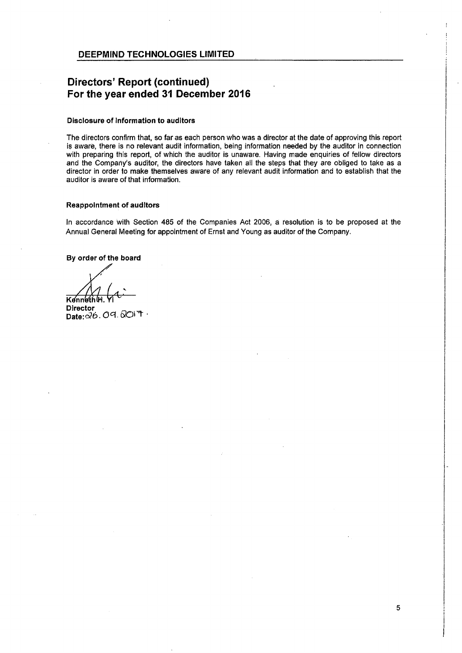## Directors' Report (continued) For the year ended 31 December 2016

### Disclosure of information to auditors

The directors confirm that, so far as each person who was a director at the date of approving this report is aware, there is no relevant audit information, being information needed by the auditor in connection with preparing this report, of which the auditor is unaware. Having made enquiries of fellow directors and the Company's auditor, the directors have taken all the steps that they are obliged to take as a director in order to make themselves aware of any relevant audit information and to establish that the auditor is aware of that information.

## **Reappointment of auditors**

In accordance with Section 485 of the Companies Act 2006, a resolution is to be proposed at the Annual General Meeting for appointment of Ernst and Young as auditor of the Company.

By order of the board

Kenneth<sup>[4]</sup>

Director  $Date: 26.09. 0017$ .

 $\begin{array}{c} \hline \end{array}$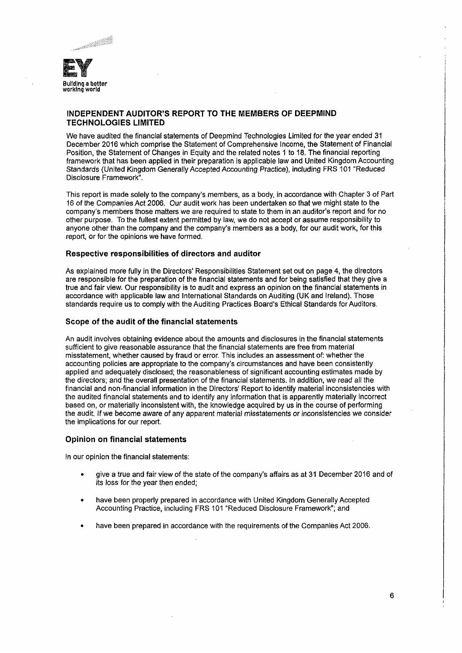



## INDEPENDENT AUDITOR'S REPORT TO THE MEMBERS OF DEEPMIND **TECHNOLOGIES LIMITED**

Wehave audited the financial statements of Deepmind Technologies Limited for the year ended <sup>31</sup> December 2016 which comprise the Statement of Comprehensive Income, the Statement of Financial Position, the Statement of Changes in Equity and the related notes <sup>1</sup> to 18. The financial reporting framework that has been applied in their preparation is applicable law and United Kingdom Accounting Standards (United Kingdom Generally Accepted Accounting Practice), including FRS 101 "Reduced Disclosure Framework".

This report is made solely to the company's members, as a body, in accordance with Chapter 3 of Part 16 of the Companies Act 2006. Our audit work has been undertaken so that we might state to the company's members those matters we are required to state to them in an auditor's report and for no other purpose. To the fullest extent permitted by law, we do not accept or assume responsibility to anyone other than the company and the company's members as a body, for our audit work, for this report, or for the opinions we have formed.

## Respective responsibilities of directors and auditor

As explained more fully in the Directors' Responsibilities Statement set out on page 4, the directors are responsible for the preparation of the financial statements and for being satisfied that they give a true and fair view. Our responsibility is to audit and express an opinion on the financial statements in accordance with applicable law and International Standards on Auditing (UK and Ireland). Those standards require us to comply with the Auditing Practices Board's Ethical Standards for Auditors.

### Scope of the audit of the financial statements

An audit involves obtaining evidence about the amounts and disclosures in the financial statements sufficient to give reasonable assurance that the financial statements are free from material misstatement, whether caused by fraud or error. This includes an assessment of: whether the accounting policies are appropriate to the company's circumstances and have been consistently applied and adequately disclosed; the reasonableness of significant accounting estimates made by the directors; and the overall presentation of the financial statements. In addition, we read all the financial and non-financial information in the Directors' Report to identify material inconsistencies with the audited financial statements and to identify any information that is apparently materially Incorrect based on, or materially inconsistent with, the knowledge acquired by us in the course of performing the audit. If we become aware of any apparent material misstatements or inconsistencies we consider the implications for our report.

## Opinion on financial statements

In our opinion the financial statements:

- <sup>e</sup> give a true and fair view of the state of the company's affairs as at 31 December 2016 and of its loss for the year then ended;
- have been properly prepared in accordance with United Kingdom Generally Accepted Accounting Practice, including FRS 101 "Reduced Disclosure Framework", and
- have been prepared in accordance with the requirements of the Companies Act 2006.

L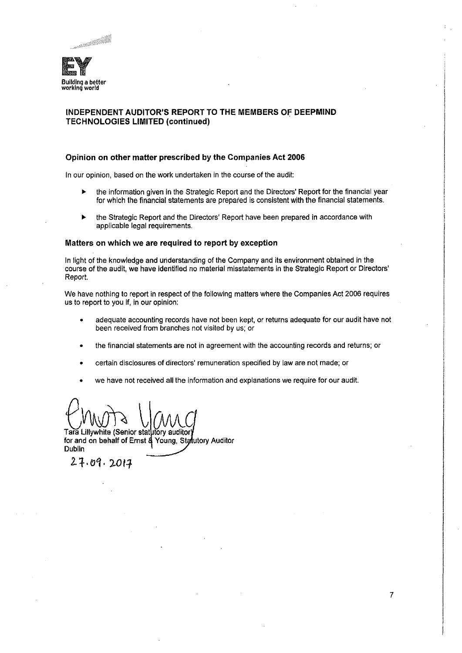

# INDEPENDENT AUDITOR'S REPORT TO THE MEMBERS OF DEEPMIND TECHNOLOGIESLIMITED(continued)

## Opinion on other matter prescribed by the Companies Act 2006

In our opinion, based on the work undertaken in the course of the audit:

- >» the information given in the Strategic Report and the Directors' Report for the financial year for which the financial statements are preparedis consistent with the financial statements.
- > the Strategic Report and the Directors' Report have been prepared in accordancewith applicable legal requirements.

## Matters on which we are required to report by exception

In light of the knowledge and understanding of the Company and its environment obtained in the course of the audit, we have identified no material misstatements in the Strategic Report or Directors' Report,

We have nothing to report in respect of the following matters where the Companies Act 2006 requires us to report to you If, in our opinion:

- \* adequate accounting records have not been kept, or returns adequate for our audit have not been received from branches not visited by us; or
- <sup>e</sup> the financial statements are not in agreementwith the accounting records and returns; or
- ¢ certain disclosures of directors' remuneration specified by law are not made; or
- we have not received all the information and explanations we require for our audit.

Tara Lillywhite (Senior statutory auditor For and on behalf of Emst & Young, Statutory Auditor<br>for and on behalf of Emst & Young, Statutory Auditor Dublin y,

24.04. 2014

j.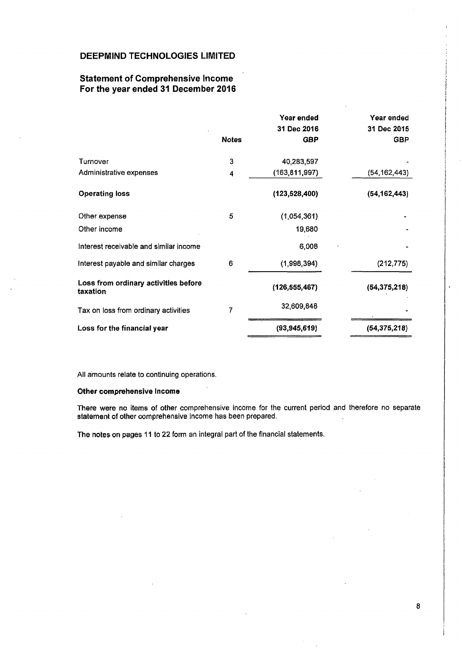## Statement of Comprehensive Income For the year ended 31 December 2016

|                                                  |              | Year ended<br>31 Dec 2016 | Year ended<br>31 Dec 2015 |
|--------------------------------------------------|--------------|---------------------------|---------------------------|
|                                                  | <b>Notes</b> | <b>GBP</b>                | <b>GBP</b>                |
| Turnover                                         | 3            | 40,283,597                |                           |
| Administrative expenses                          | 4            | (163, 811, 997)           | (54, 162, 443)            |
| <b>Operating loss</b>                            |              | (123, 528, 400)           | (54, 162, 443)            |
| Other expense                                    | 5            | (1,054,361)               |                           |
| Other income                                     |              | 19,680                    |                           |
| Interest receivable and similar income           |              | 6,008                     |                           |
| Interest payable and similar charges             | 6            | (1,998,394)               | (212, 775)                |
| Loss from ordinary activities before<br>taxation |              | (126, 555, 467)           | (54, 375, 218)            |
| Tax on loss from ordinary activities             | 7            | 32,609,848                |                           |
| Loss for the financial year                      |              | (93, 945, 619)            | (54, 375, 218)            |

All amounts relate to continuing operations.

## Other comprehensive Income

There were no items of other comprehensive income for the current period and therefore no separate statement of other comprehensive income has been prepared.

The notes on pages 11 to 22 form an integral part of the financial statements,

 $\ddot{\phantom{a}}$ 

 $\begin{matrix} \phantom{-} \\ \phantom{-} \end{matrix}$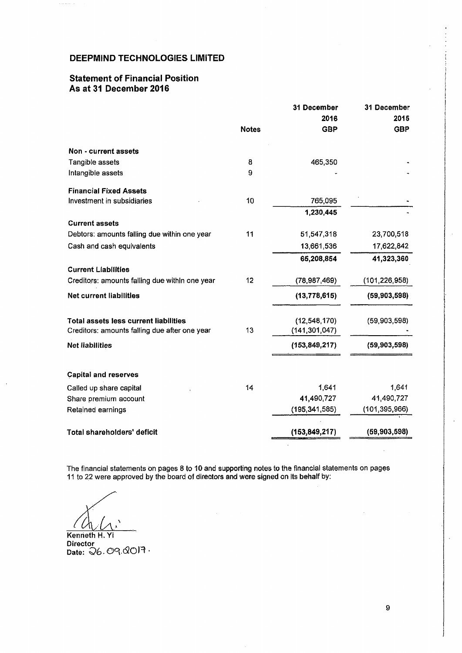## **Statement of Financial Position** As at 31 December 2016

. . . . . . . .

| <b>DEEPMIND TECHNOLOGIES LIMITED</b>                                         |              |                     |                     |
|------------------------------------------------------------------------------|--------------|---------------------|---------------------|
| <b>Statement of Financial Position</b><br>As at 31 December 2016             |              |                     |                     |
|                                                                              |              | 31 December<br>2016 | 31 December<br>2015 |
|                                                                              | <b>Notes</b> | <b>GBP</b>          | <b>GBP</b>          |
| Non - current assets                                                         |              |                     |                     |
| Tangible assets                                                              | 8            | 465,350             |                     |
| Intangible assets                                                            | 9            |                     |                     |
| <b>Financial Fixed Assets</b>                                                |              |                     |                     |
| Investment in subsidiaries                                                   | 10           | 765,095             |                     |
|                                                                              |              | 1,230,445           |                     |
| <b>Current assets</b>                                                        |              |                     |                     |
| Debtors: amounts falling due within one year                                 | 11           | 51,547,318          | 23,700,518          |
| Cash and cash equivalents                                                    |              | 13,661,536          | 17,622,842          |
|                                                                              |              | 65,208,854          | 41,323,360          |
| <b>Current Liabilities</b><br>Creditors: amounts falling due within one year | 12           | (78, 987, 469)      | (101, 226, 958)     |
| <b>Net current liabilities</b>                                               |              | (13,778,615)        | (59,903,598)        |
| Total assets less current liabilities                                        |              | (12, 548, 170)      | (59,903,598)        |
| Creditors: amounts falling due after one year                                | 13           | (141, 301, 047)     |                     |
| Net liabilities                                                              |              | (153, 849, 217)     | (59,903,598)        |
| <b>Capital and reserves</b>                                                  |              |                     |                     |
| Called up share capital                                                      | 14           | 1,641               | 1,641               |
| Share premium account                                                        |              | 41,490,727          | 41,490,727          |
| Retained earnings                                                            |              | (195, 341, 585)     | (101, 395, 966)     |
| Total shareholders' deficit                                                  |              | (153, 849, 217)     | (59,903,598)        |
|                                                                              |              |                     |                     |

The financial statements on pages 8 to 10 and supporting notes to the financial statements on pages 11 to 22 were approved by the board of directors and were signed on its behalf by:

Kenneth H. Yi<br>Director<br>Date:  $Q6.09.00$ Kenneth H. Yi **Director**  $\frac{D_{\text{H}}}{D_{\text{B}}}$ Date:  $\bigcirc$ 6.09.0017  $\cdot$ 

į.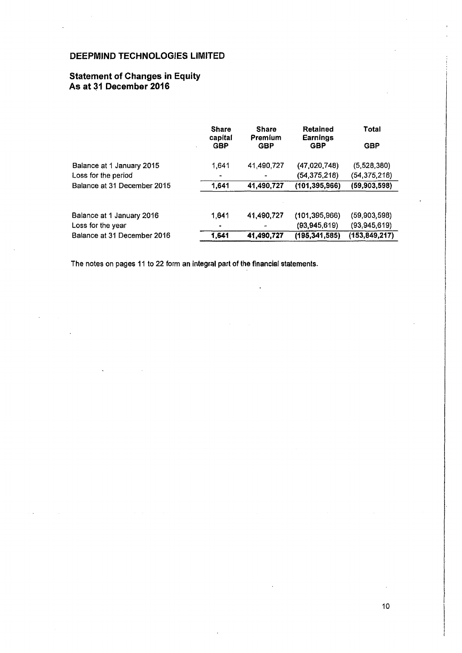## **Statement of Changes in Equity** As at 31 December 2016

| DEEPMIND TECHNOLOGIES LIMITED                                   |                       |                       |                                 |                                |
|-----------------------------------------------------------------|-----------------------|-----------------------|---------------------------------|--------------------------------|
| <b>Statement of Changes in Equity</b><br>As at 31 December 2016 | <b>Share</b>          | <b>Share</b>          | Retained                        | Total                          |
|                                                                 | capital<br><b>GBP</b> | Premium<br><b>GBP</b> | Earnings<br><b>GBP</b>          | <b>GBP</b>                     |
| Balance at 1 January 2015<br>Loss for the period                | 1,641                 | 41,490,727            | (47,020,748)<br>(54, 375, 218)  | (5,528,380)<br>(54, 375, 218)  |
| Balance at 31 December 2015                                     | 1,641                 | 41,490,727            | (101, 395, 966)                 | (59,903,598)                   |
| Balance at 1 January 2016<br>Loss for the year                  | 1,641                 | 41,490,727            | (101, 395, 966)<br>(93,945,619) | (59,903,598)<br>(93, 945, 619) |
| Balance at 31 December 2016                                     | 1,641                 | 41,490,727            | (195, 341, 585)                 | (153, 849, 217)                |

 $\overline{a}$ 

The notes on pages 11 to 22 form an integral part of the financial statements.

 $\bar{\Delta}$ 

 $\mathbf{I}$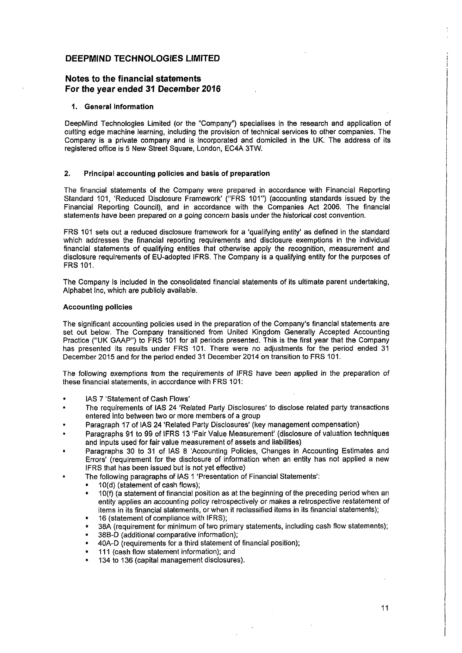## Notes to the financial statements For the year ended 31 December 2016

### 1. General information

DeepMind Technologies Limited (or the "Company") specialises in the research and application of cutting edge machine learning, including the provision of technical services to other companies. The Company is a private company and is incorporated and domiciled in the UK. The address of its registered office is 5 New Street Square, London, EC4A 3TW.

### 2. Principal accounting policies and basis of preparation

The financial statements of the Company were prepared in accordance with Financial Reporting Standard 101, 'Reduced Disclosure Framework' ("FRS 101") (accounting standards issued by the Financial Reporting Council), and in accordance with the Companies Act 2006. The financial statements have been prepared on a going concern basis under the historical cost convention.

FRS 101 sets out a reduced disclosure framework for a 'qualifying entity' as defined in the standard which addresses the financial reporting requirements and disclosure exemptions in the individual financial statements of qualifying entities that otherwise apply the recognition, measurement and disclosure requirements of EU-adopted IFRS. The Company is a qualifying entity for the purposes of FRS 101.

The Company is included in the consolidated financial statements of its ultimate parent undertaking, Alphabet Inc, which are publicly available.

#### Accounting policies

The significant accounting policies used in the preparation of the Company's financial statements are set out below. The Company transitioned from United Kingdom Generally Accepted Accounting Practice ("UK GAAP") to FRS 101 for all periods presented. This is the first year that the Company has presented its results under FRS 101. There were no adjustments for the period ended 31 December 2015 and for the period ended 31 December 2014 on transition to FRS 101.

The following exemptions from the requirements of IFRS have been applied in the preparation of these financial statements, in accordance with FRS 101:

- . IAS 7 'Statement of Cash Flows'
- . The requirements of IAS 24 'Related Party Disclosures' to disclose related party transactions entered into between two or more members of a group
- Paragraph 17 of IAS 24 'Related Party Disclosures' (key management compensation)
- Paragraphs 91 to 99 of IFRS 13 'Fair Value Measurement' (disclosure of valuation techniques and inputs used for fair value measurement of assets and liabilities)
- Paragraphs 30 to 31 of IAS 8 'Accounting Policies, Changes in Accounting Estimates and Errors' (requirement for the disclosure of information when an entity has not applied a new IFRS that has been issued but is not yet effective)
	- The following paragraphs of IAS 1 'Presentation of Financial Statements':
		- 10(d) (statement of cash flows);
			- $10(f)$  (a statement of financial position as at the beginning of the preceding period when an entity applies an accounting policy retrospectively or makes a retrospective restatement of items in its financial statements, or when it reclassified items in its financial statements);
			- 16 (statement of compliance with IFRS);
		- 38A (requirement for minimum of two primary statements, including cash flow statements);
		- 38B-D (additional comparative information);
		- 40A-D (requirements for a third statement of financial position);
		- 111 (cash flow statement information); and
		- 134 to 136 (capital management disclosures).

L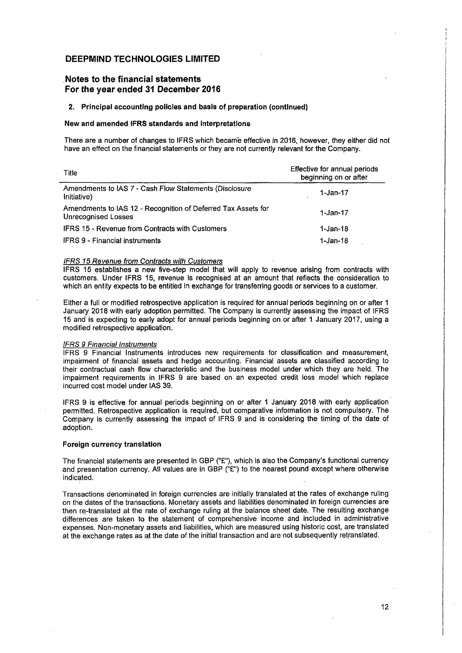## Notes to the financial statements For the year ended 31 December 2016

#### 2. Principal accounting policies and basls of preparation (continued)

### New and amended IFRS standards and interpretations

| <b>DEEPMIND TECHNOLOGIES LIMITED</b>                                                                                                                                                                |                                                       |
|-----------------------------------------------------------------------------------------------------------------------------------------------------------------------------------------------------|-------------------------------------------------------|
| Notes to the financial statements<br>For the year ended 31 December 2016                                                                                                                            |                                                       |
| 2. Principal accounting policies and basis of preparation (continued)                                                                                                                               |                                                       |
|                                                                                                                                                                                                     |                                                       |
| New and amended IFRS standards and interpretations                                                                                                                                                  |                                                       |
| There are a number of changes to IFRS which became effective in 2016, however, they either did no<br>have an effect on the financial statements or they are not currently relevant for the Company. |                                                       |
| Title                                                                                                                                                                                               | Effective for annual periods<br>beginning on or after |
| Amendments to IAS 7 - Cash Flow Statements (Disclosure<br>Initiative)                                                                                                                               | $1-Jan-17$                                            |
| Amendments to IAS 12 - Recognition of Deferred Tax Assets for<br><b>Unrecognised Losses</b>                                                                                                         | $1-Jan-17$                                            |
| <b>IFRS 15 - Revenue from Contracts with Customers</b>                                                                                                                                              | $1-Jan-18$                                            |
| <b>IFRS 9 - Financial instruments</b>                                                                                                                                                               | $1-Jan-18$                                            |

#### IFRS 15 Revenue from Contracts with Customers

IFRS 15 establishes a new five-step model that will apply to revenue arising from contracts with customers. Under IFRS 15, revenue Is recognised at an amount that reflects the consideration to which an entity expects to be entitled in exchange for transferring goods or services to a customer.

Either a full or modified retrospective application is required for annual periods beginning on or after <sup>1</sup> January 2018 with early adoption permitted. The Companyis currently assessing the impact of IFRS 15 and is expecting to early adopt for annual periods beginning on or after <sup>1</sup> January 2017, using a modified retrospective application.

#### IFRS 9 Financial Instruments

IFRS 9 Financial Instruments introduces new requirements for classification and measurement, impairment of financial assets and hedge accounting. Financial assets are classified according to their contractual cash flow characteristic and the business model under which they are held. The impairment requirements in IFRS 9 are based on an expected credit joss model which replace incurred cost model under IAS 39.

IFRS 9 is effective for annual periods beginning on or after 1 January 2018 with early application permitted. Retrospective application is required, but comparative information is not compulsory, The Company is currently assessing the impact of IFRS 9 and is considering the timing of the date of adoption.

#### Foreign currency translation

The financial statements are presented in GBP ("£"), which is also the Company's functional currency and presentation currency. All values are in GBP ("£") to the nearest pound except where otherwise indicated.

Transactions denominated in foreign currencies are initially translated at the rates of exchangeruling on the dates of the transactions. Monetary assets and llabilities denominated in foreign currencies are 'then re-translated at the rate of exchange ruling at the balance sheet date. The resulting exchange differences are taken to the statement of comprehensive income and included in administrative 'expenses, Non-monetary assets andliabilities, which are measured using historic cost, are translated at the exchange rates as at the date of the initial transaction and are not subsequently retranslated.

 $\mathbf{I}$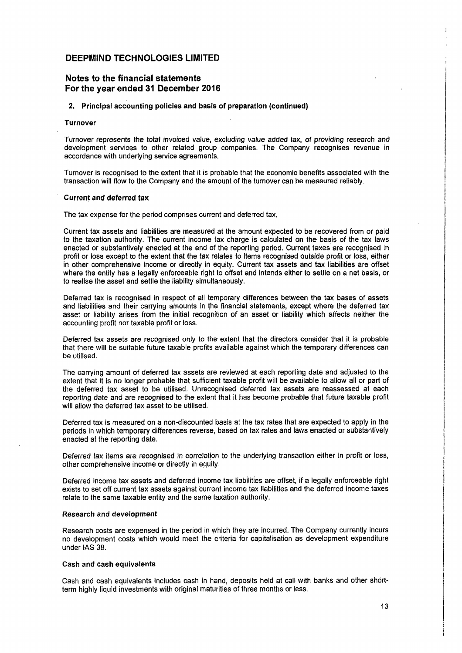## Notes to the financial statements For the year ended 31 December 2016

### 2. Principal accounting policies and basis of preparation (continued)

### Turnover

Turnover represents the total invoiced value, excluding value added tax, of providing research and development services to other related group companies. The Company recognises revenue in accordance with underlying service agreements.

Turnover is recognised to the extent that it is probable that the economic benefits associated with the transaction will flow to the Company and the amount of the turnover can be measured reliably.

#### Current and deferred tax

The tax expense for the period comprises current and deferred tax.

Current tax assets and liabilities are measured at the amount expected to be recovered from or paid to the taxation authority. The current income tax charge is calculated on the basis of the tax laws enacted or substantively enacted at the end of the reporting period. Current taxes are recognised In profit or loss except to the extent that the tax relates to items recognised outside profit or loss, either in other comprehensive income or directly in equity. Current tax assets and tax liabilities are offset where the entity has a legally enforceable right to offset and intends either to settle on a net basis, or to realise the asset and settle the llabillty simultaneously.

Deferred tax is recognised in respect of all temporary differences between the tax bases of assets and liabilities and their carrying amounts in the financial statements, except where the deferred tax asset or liability arises from the initial recognition of an asset or liability which affects neither the accounting profit nor taxable profit or loss.

Deferred tax assets are recognised only to the extent that the directors consider that it is probable that there will be suitable future taxable profits available against which the temporary differences can be utilised.

The carrying amount of deferred tax assets are reviewed at each reporting date and adjusted to the extent that it is no longer probable that sufficient taxable profit will be available to allow all or part of the deferred tax asset to be utilised. Unrecognised deferred tax assets are reassessed at each reporting date and are recognised to the extent that it has become probable that future taxable profit will allow the deferred tax asset to be utilised.

Deferred tax is measured on a non-discounted basis at the tax rates that are expected to apply in the periods in which temporary differences reverse, based on tax rates and laws enacted or substantively enacted at the reporting date.

Deferred tax items are recognised in correlation to the underlying transaction either in profit or loss, other comprehensive income or directly in equity.

Deferred income tax assets and deferred Income taxliabilities are offset, if a legally enforceable right exists to set off current tax assets against current income tax liabilities and the deferred income taxes relate to the same taxable entity and the same taxation authority.

#### Research and development

Research costs are expensed in the period in which they are incurred. The Company currently incurs no development costs which would meet the criteria for capitalisation as development expenditure under IAS 38.

#### Cash and cash equivalents

Cash and cash equivalents includes cash in hand, deposits held at call with banks and other shartterm highly liquid investments with original maturities of three months or less.

ĺ.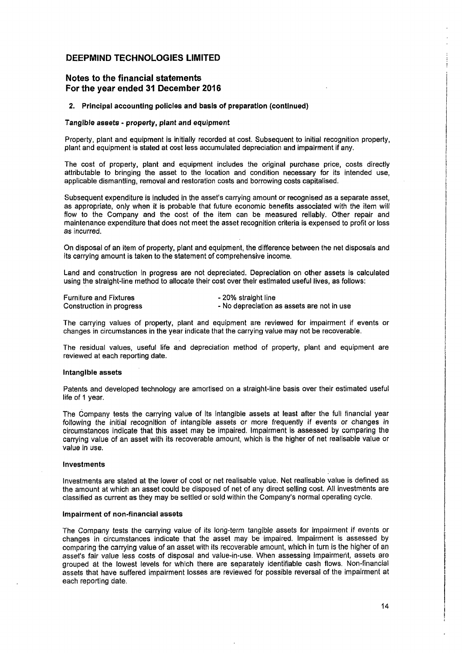## Notes to the financial statements For the year ended 31 December 2016

### 2. Principal accounting policies and basts of preparation (continued)

### Tangible assets - property, plant and equipment

Property, plant and equipment is initially recorded at cost. Subsequent to initial recognition property, plant and equipmentis stated at cost less accumulated depreciation and impairmentif any.

The cost of property, plant and equipment includes the original purchase price, costs directly attributable to bringing the asset to the location and condition necessary for its intended use, applicable dismantling, removal and restoration costs and borrowing costs capitalised.

Subsequent expenditure is included in the asset's carrying amount or recognised as a separate asset, as appropriate, only when it is probable that future economic benefits associated with the item will flow to the Company and the cost of the item can be measured reliably. Other repair and maintenance expenditure that does not meet the asset recognition criteria is expensed to profit or loss as incurred,

On disposal of an item of property, plant and equipment, the difference between the net disposals and its carrying amount is taken to the statement of comprehensive income.

Land and construction In progress are not depreciated. Depreciation on other assets is calculated using the straight-line method to allocate their cost over their estimated useful lives, as follows:

| <b>Furniture and Fixtures</b> | - 20% straight line                        |
|-------------------------------|--------------------------------------------|
| Construction in progress      | - No depreciation as assets are not in use |

The carrying values of property, plant and equipment are reviewed for impairment if events or changes in circumstances in the year indicate that the carrying value may not be recoverable.

The residual values, useful life and depreciation method of property, plant and equipment are reviewed at each reporting date.

#### Intangible assets

Patents and developed technology are amortised on a straight-line basis over their estimated useful life of 1 year.

The Company tests the carrying value of Its intangible assets at least after the full financial year following the initial recognition of intangible assets or more frequently if events or changes in circumstances indicate that this asset may be impaired. Impairment is assessed by comparing the carrying value of an asset with its recoverable amount, which is the higher of net realisable value or value In use.

#### Investments

Investments are stated at the lower of cost or net realisable value. Net realisable value is defined as the amount at which an asset could be disposed of net of any direct selling cost. All investments are classified as current as they may be settled or sold within the Company's normal operating cycle.

#### Impairment of non-financial assets

The Company tests the carrying value of its long-term tangible assets for impairment if events or changes in circumstances indicate that the asset may be impaired. Impairment is assessed by comparing the carrying value of an asset with its recoverable amount, which in turn is the higher of an asset's fair value less costs of disposal and value-in-use. When assessing Impairment, assets are grouped at the lowest levels for which there are separately identifiable cash flows. Non-financial assets that have suffered impairment losses are reviewed for possible reversal of the impairment at each reporting date.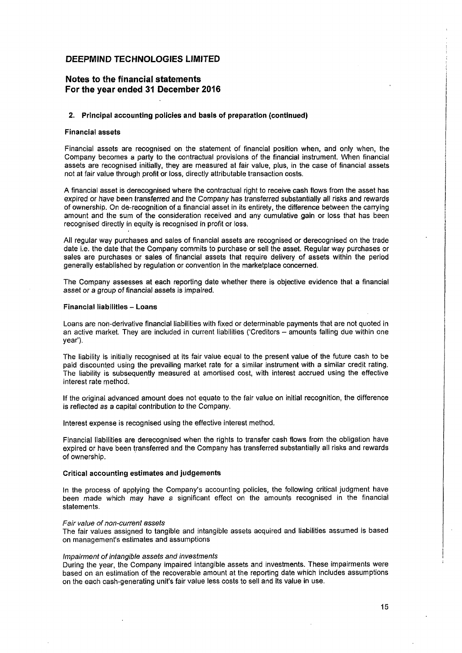## Notes to the financial statements For the year ended 31 December 2016

#### 2. Principal accounting policies and basis of preparation (continued)

## Financial assets

Financial assets are recognised on the statement of financial position when, and only when, the Company becomes a party to the contractual provisions of the financial instrument. When financial assets are recognised initially, they are measured at fair value, plus, in the case of financial assets not at fair value through profit or loss, directly attributable transaction costs.

A financial asset is derecognised where the contractual right to receive cash flows from the asset has expired or have beentransferred and the Company has transferred substantially all risks and rewards of ownership. On de-recognition of a financial assetin its entirety, the difference between the carrying amount and the sum of the consideration received and any cumulative gain or loss that has been recognised directly in equity is recognised in profit or loss.

All regular way purchases and sales of financial assets are recognised or derecognised on the trade date i.e. the date that the Company commits to purchase or sell the asset. Regular way purchases or sales are purchases or sales of financial assets that require delivery of assets within the period generally established by regulation or convention In the marketplace concerned.

The Company assesses at each reporting date whether there is objective evidence that a financial asset or a group of financial assets is impaired.

#### **Financial liabilities - Loans**

Loans are non-derivative financial liabilities with fixed or determinable payments that are not quoted in an active market. They are included in current liabilities ('Creditors - amounts falling due within one year').

The liability is initially recognised at its fair value equal to the present value of the future cash to be paid discounted using the prevailing market rate for a similar instrument with a similar credit rating. The liability is subsequently measured at amortised cost, with interest accrued using the effective interest rate method.

If the original advanced amount does not equate to the fair value on initial recognition, the difference is reflected as a capital contribution to the Company.

Interest expense is recognised using the effective interest method.

Financial llabilities are derecognised when the rights to transfer cash flows from the obligation have expired or have been transferred and the Company has transferred substantially all risks and rewards of ownership.

#### Critical accounting estimates and judgements

In the process of applying the Company's accounting policies, the following critical judgment have been made which may have a significant effect on the amounts recognised in the financial statements.

#### Fair value of non-current assets

The fair values assigned to tangible and intangible assets acquired and liabilities assumed is based on management's estimates and assumptions

## Impairment of intangible assets and investments

During the year, the Company impaired intangible assets and investments. These impairments were based on an estimation of the recoverable amount at the reporting date which includes assumptions on the each cash-generating unit's fair value less costs to sell and its value in use.

L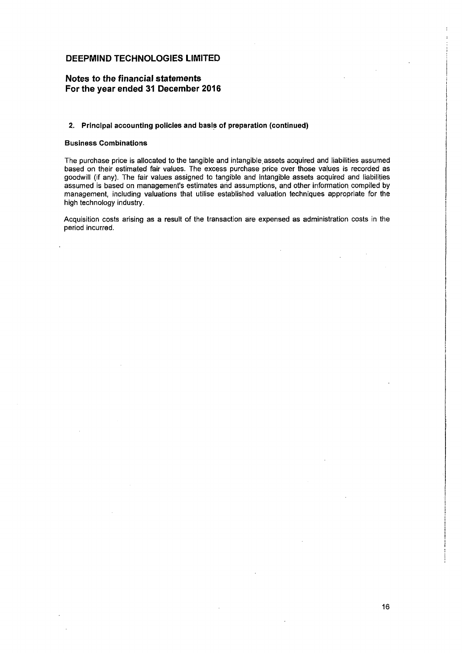## Notes to the financial statements For the year ended 31 December 2016

## 2. Principal accounting policies and basis of preparation (continued)

#### Business Combinations

The purchase price is allocated to the tangible and intangible assets acquired and liabilities assumed based on their estimated fair values. The excess purchase price over those values is recorded as goodwill (if any). The fair values assigned to tangible and Intangible assets acquired and liabilities assumed is based on management's estimates and assumptions, and other information compiled by management, including valuations that utilise established valuation techniques appropriate for the high technology industry.

Acquisition costs arising as a result of the transaction are expensed as administration costs in the period incurred.

16

▏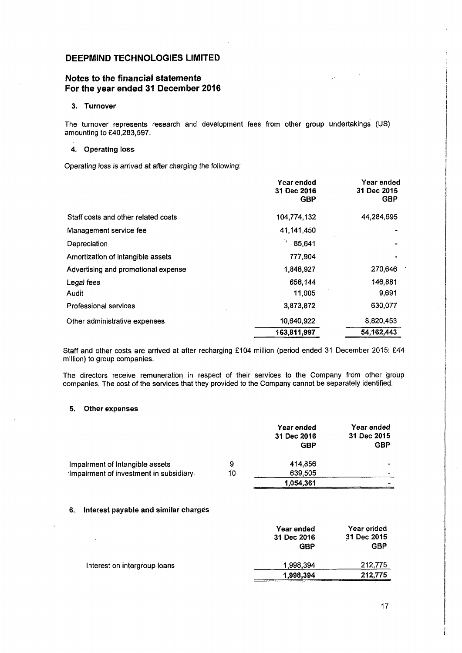## Notes to the financial statements For the year ended 31 December 2016

3. Turnover

The turnover represents research and development fees from other group undertakings (US) amounting to £40,283,597.

## 4. Operating loss

Operating loss is arrived at after charging the following:

|                                                                                                                                                                                                                                                                                                                                                                                 |                  | Year ended<br>31 Dec 2016<br><b>GBP</b> | Year ended<br>31 Dec 2015<br><b>GBP</b> |
|---------------------------------------------------------------------------------------------------------------------------------------------------------------------------------------------------------------------------------------------------------------------------------------------------------------------------------------------------------------------------------|------------------|-----------------------------------------|-----------------------------------------|
| Staff costs and other related costs                                                                                                                                                                                                                                                                                                                                             |                  | 104,774,132                             | 44,284,695                              |
| Management service fee                                                                                                                                                                                                                                                                                                                                                          |                  | 41,141,450                              |                                         |
| Depreciation                                                                                                                                                                                                                                                                                                                                                                    |                  | 85,641                                  |                                         |
| Amortization of intangible assets                                                                                                                                                                                                                                                                                                                                               |                  | 777,904                                 |                                         |
| Advertising and promotional expense                                                                                                                                                                                                                                                                                                                                             |                  | 1,848,927                               | 270,646                                 |
| Legal fees                                                                                                                                                                                                                                                                                                                                                                      |                  | 658,144                                 | 146,881                                 |
| Audit                                                                                                                                                                                                                                                                                                                                                                           |                  | 11,005                                  | 9,691                                   |
| Professional services                                                                                                                                                                                                                                                                                                                                                           |                  | 3,873,872                               | 630,077                                 |
| Other administrative expenses                                                                                                                                                                                                                                                                                                                                                   |                  | 10,640,922                              | 8,820,453                               |
|                                                                                                                                                                                                                                                                                                                                                                                 |                  | 163,811,997                             | 54,162,443                              |
| 144 Staff and other costs are arrived at after recharging £104 million (period ended 31 December 2015: 344<br>nillion) to group companies.<br>The directors receive remuneration in respect of their services to the Company from other group<br>companies. The cost of the services that they provided to the Company cannot be separately identified.<br>5.<br>Other expenses |                  |                                         |                                         |
|                                                                                                                                                                                                                                                                                                                                                                                 |                  | Year ended<br>31 Dec 2016<br><b>GBP</b> | Year ended<br>31 Dec 2015<br><b>GBP</b> |
| Impairment of Intangible assets                                                                                                                                                                                                                                                                                                                                                 | 9                | 414,856                                 |                                         |
| Impairment of investment in subsidiary.                                                                                                                                                                                                                                                                                                                                         | 10 <sub>10</sub> | 639,505                                 |                                         |
|                                                                                                                                                                                                                                                                                                                                                                                 |                  | 1,054,361                               |                                         |

#### 5. Other expenses

| Professional services                                                                                                                                                                                 |    | 3,873,872                 | 630,077                   |
|-------------------------------------------------------------------------------------------------------------------------------------------------------------------------------------------------------|----|---------------------------|---------------------------|
| Other administrative expenses                                                                                                                                                                         |    | 10,640,922                | 8,820,453                 |
|                                                                                                                                                                                                       |    | 163,811,997               | 54,162,443                |
| taff and other costs are arrived at after recharging £104 million (period ended 31 December 2015: £<br>illion) to group companies.                                                                    |    |                           |                           |
| he directors receive remuneration in respect of their services to the Company from other gro<br>ompanies. The cost of the services that they provided to the Company cannot be separately identified. |    |                           |                           |
| Other expenses<br>5.                                                                                                                                                                                  |    |                           |                           |
|                                                                                                                                                                                                       |    | Year ended<br>31 Dec 2016 | Year ended<br>31 Dec 2015 |
|                                                                                                                                                                                                       |    | <b>GBP</b>                | <b>GBP</b>                |
| Impairment of Intangible assets                                                                                                                                                                       | 9  | 414,856                   |                           |
| Impairment of investment in subsidiary.                                                                                                                                                               | 10 | 639,505                   |                           |
|                                                                                                                                                                                                       |    | 1,054,361                 |                           |
| Interest payable and similar charges<br>6.                                                                                                                                                            |    |                           |                           |
|                                                                                                                                                                                                       |    | Year ended                | Year ended                |
|                                                                                                                                                                                                       |    | 31 Dec 2016<br><b>GBP</b> | 31 Dec 2015<br><b>GBP</b> |
| Interest on intergroup loans                                                                                                                                                                          |    | 1,998,394                 | 212,775                   |
|                                                                                                                                                                                                       |    | 1,998,394                 | 212,775                   |
|                                                                                                                                                                                                       |    |                           |                           |

## 6. Interest payable and similar charges

|                              | Year ended<br>31 Dec 2016<br>GBP | Year ended<br>31 Dec 2015<br>GBP |
|------------------------------|----------------------------------|----------------------------------|
| Interest on intergroup loans | 1.998.394                        | 212,775                          |
|                              | 1,998,394                        | 212,775                          |

Ļ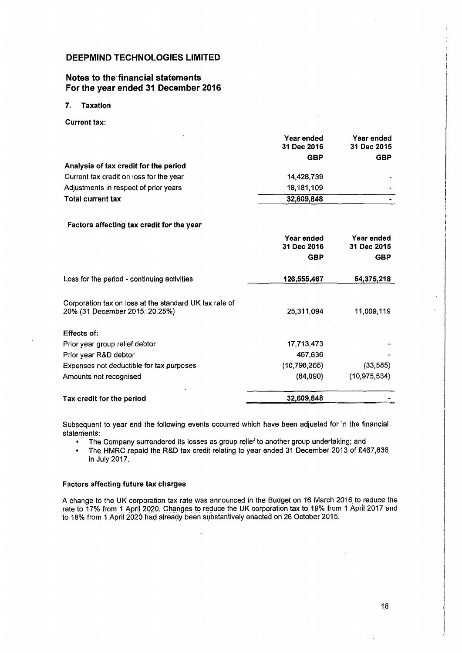## Notes to the financial statements For the year ended 31 December 2016

- 7. Taxation
- Current tax:

| Year ended                       | Year ended<br>31 Dec 2015                |
|----------------------------------|------------------------------------------|
| <b>GBP</b>                       | <b>GBP</b>                               |
|                                  |                                          |
| 14,428,739                       |                                          |
| 18,181,109                       |                                          |
| 32,609,848                       |                                          |
|                                  |                                          |
| Year ended<br>31 Dec 2016<br>GBP | Year ended<br>31 Dec 2015<br>GBP         |
|                                  | 54,375,218                               |
|                                  |                                          |
| 25,311,094                       | 11,009,119                               |
|                                  |                                          |
|                                  |                                          |
| 467,636                          |                                          |
| (10, 798, 265)                   | (33, 585)                                |
| (84,090)                         | (10, 975, 534)                           |
| 32,609,848                       |                                          |
|                                  | 31 Dec 2016<br>126,555,467<br>17,713,473 |

Subsequent to year end the following events occurred which have been adjusted for in the financial statements:

The Company surrendered its losses as group relief to another group undertaking; and

The HMRC repaid the R&D tax credit relating to year ended 31 December 2013 of £467,636 in July 2017.

## Factors affecting future tax charges

A change to the UK corporation tax rate was announced in the Budget on 16 March 2016 to reduce the rate to 17% from 1 April 2020. Changes to reduce the UK corporation tax to 19% from 1 April 2017 and 'to 18% from <sup>1</sup> April 2020 had already been substantively enacted on 26 October 2015.

ļ.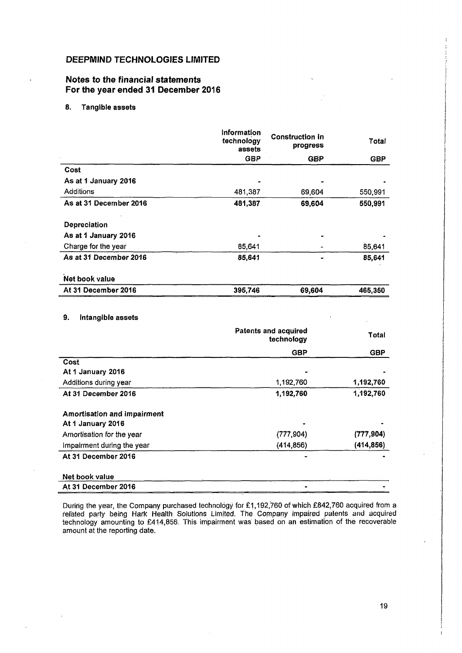## Notes to the financial statements For the year ended 31 December 2016

## 8. Tangible assets

| DEEPMIND TECHNOLOGIES LIMITED                                            |                           |                                    |                          |
|--------------------------------------------------------------------------|---------------------------|------------------------------------|--------------------------|
| Notes to the financial statements<br>For the year ended 31 December 2016 |                           |                                    |                          |
| 8.<br>Tangible assets                                                    |                           |                                    |                          |
|                                                                          |                           |                                    |                          |
|                                                                          | Information<br>technology | <b>Construction in</b><br>progress | Total                    |
|                                                                          | assets<br><b>GBP</b>      | <b>GBP</b>                         | <b>GBP</b>               |
| Cost<br>As at 1 January 2016                                             |                           |                                    |                          |
| Additions                                                                | 481,387                   | 69,604                             | 550,991                  |
| As at 31 December 2016                                                   | 481,387                   | 69,604                             | 550,991                  |
| Depreciation                                                             |                           |                                    |                          |
| As at 1 January 2016<br>Charge for the year                              | 85,641                    |                                    | 85,641                   |
| As at 31 December 2016                                                   | 85,641                    | $\overline{a}$                     | 85,641                   |
| Net book value                                                           |                           |                                    |                          |
| At 31 December 2016                                                      | 395,746                   | 69,604                             | 465,350                  |
| Intangible assets<br>9.                                                  |                           |                                    |                          |
|                                                                          |                           | Patents and acquired<br>technology | <b>Total</b>             |
|                                                                          |                           | <b>GBP</b>                         | <b>GBP</b>               |
| Cost<br>At 1 January 2016                                                |                           |                                    |                          |
| Additions during year<br>At 31 December 2016                             |                           | 1,192,760<br>1,192,760             | 1,192,760<br>1,192,760   |
|                                                                          |                           |                                    |                          |
| Amortisation and impairment<br>At 1 January 2016                         |                           |                                    |                          |
| Amortisation for the year<br>Impairment during the year                  |                           | (777, 904)<br>(414, 856)           | (777, 904)<br>(414, 856) |
| At 31 December 2016                                                      |                           |                                    |                          |
| Net book value<br>At 31 December 2016                                    |                           |                                    |                          |

Duririg the year, the Company purchased technology for £1,192,760 of which £842,760 acquired from a related party being Hark Health Solutions Limited. The Company impaired patents and acquired technology amounting to £414,856. This impairment was based on an estimation of the recoverable amount at the reporting date.

19

 $\mathbb{R}$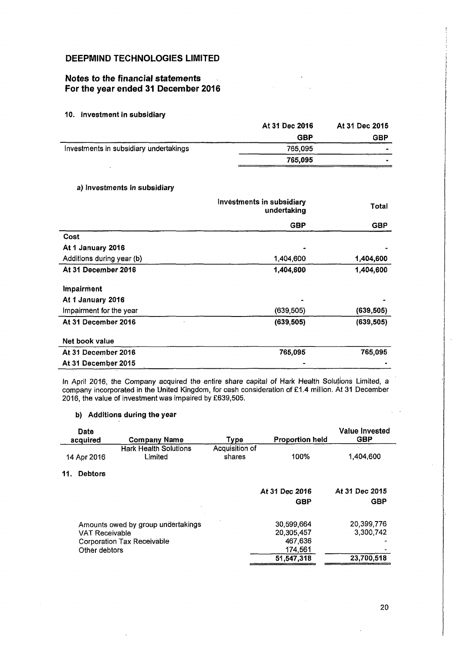## Notes to the financial statements For the year ended 31 December 2016

## 10. Investment in subsidiary

| DEEPMIND TECHNOLOGIES LIMITED                                            |                                                 |                              |
|--------------------------------------------------------------------------|-------------------------------------------------|------------------------------|
| Notes to the financial statements<br>For the year ended 31 December 2016 |                                                 |                              |
| 10. Investment in subsidiary                                             |                                                 |                              |
|                                                                          | At 31 Dec 2016<br><b>GBP</b>                    | At 31 Dec 2015<br><b>GBP</b> |
| Investments in subsidiary undertakings                                   | 765,095<br>765,095                              | ۰                            |
| a) Investments in subsidiary                                             |                                                 |                              |
|                                                                          | <b>Investments in subsidiary</b><br>undertaking | Total                        |
|                                                                          | <b>GBP</b>                                      | <b>GBP</b>                   |

## a) Investments in subsidiary

| DEEPMIND TECHNOLOGIES LIMITED                                                                                                                                                                                                                                     |                                                 |                       |
|-------------------------------------------------------------------------------------------------------------------------------------------------------------------------------------------------------------------------------------------------------------------|-------------------------------------------------|-----------------------|
| Notes to the financial statements<br>For the year ended 31 December 2016                                                                                                                                                                                          |                                                 |                       |
| 10. Investment in subsidiary                                                                                                                                                                                                                                      |                                                 |                       |
|                                                                                                                                                                                                                                                                   | At 31 Dec 2016<br><b>GBP</b>                    | At 31 Dec 2015<br>GBP |
| Investments in subsidiary undertakings                                                                                                                                                                                                                            | 765,095<br>765,095                              |                       |
|                                                                                                                                                                                                                                                                   |                                                 |                       |
| a) Investments in subsidiary                                                                                                                                                                                                                                      |                                                 |                       |
|                                                                                                                                                                                                                                                                   | <b>Investments in subsidiary</b><br>undertaking | Total                 |
| Cost                                                                                                                                                                                                                                                              | <b>GBP</b>                                      | <b>GBP</b>            |
| At 1 January 2016<br>Additions during year (b)                                                                                                                                                                                                                    | 1,404,600                                       | 1,404,600             |
| At 31 December 2016                                                                                                                                                                                                                                               | 1,404,600                                       | 1,404,600             |
| <b>Impairment</b>                                                                                                                                                                                                                                                 |                                                 |                       |
| At 1 January 2016<br>Impairment for the year                                                                                                                                                                                                                      | (639, 505)                                      | (639, 505)            |
| At 31 December 2016                                                                                                                                                                                                                                               | (639, 505)                                      | (639, 505)            |
| Net book value<br>At 31 December 2016                                                                                                                                                                                                                             | 765,095                                         | 765,095               |
| At 31 December 2015                                                                                                                                                                                                                                               |                                                 |                       |
| In April 2016, the Company acquired the entire share capital of Hark Health Solutions Limited, a<br>company incorporated in the United Kingdom, for cash consideration of £1.4 million. At 31 December<br>2016, the value of investment was impaired by £639,505. |                                                 |                       |
| b) Additions during the year                                                                                                                                                                                                                                      |                                                 |                       |

## b) Additions during the year

| <b>Impairment</b>       |                                                                                         |                          |                        |                |
|-------------------------|-----------------------------------------------------------------------------------------|--------------------------|------------------------|----------------|
| At 1 January 2016       |                                                                                         |                          |                        |                |
| Impairment for the year |                                                                                         |                          | (639, 505)             | (639, 505)     |
| At 31 December 2016     |                                                                                         |                          | (639, 505)             | (639, 505)     |
| Net book value          |                                                                                         |                          |                        |                |
| At 31 December 2016     |                                                                                         |                          | 765,095                | 765,095        |
| At 31 December 2015     |                                                                                         |                          |                        |                |
|                         | 2016, the value of investment was impaired by £639,505.<br>b) Additions during the year |                          |                        |                |
| Date                    |                                                                                         |                          |                        | Value Invested |
| acquired                | <b>Company Name</b>                                                                     | <b>Type</b>              | <b>Proportion held</b> | <b>GBP</b>     |
| 14 Apr 2016             | <b>Hark Health Solutions</b><br>Limited                                                 | Acquisition of<br>shares | 100%                   | 1,404,600      |
| <b>Debtors</b>          |                                                                                         |                          |                        |                |
| 11.                     |                                                                                         |                          | At 31 Dec 2016         | At 31 Dec 2015 |
|                         |                                                                                         |                          | <b>GBP</b>             | <b>GBP</b>     |
|                         | Amounts owed by group undertakings                                                      |                          | 30,599,664             | 20,399,776     |
| <b>VAT Receivable</b>   |                                                                                         |                          | 20,305,457<br>467,636  | 3,300,742      |
| Other debtors           | <b>Corporation Tax Receivable</b>                                                       |                          | 174,561<br>51,547,318  | 23,700,518     |

 $\bar{a}$ 

 $\mathbf{I}$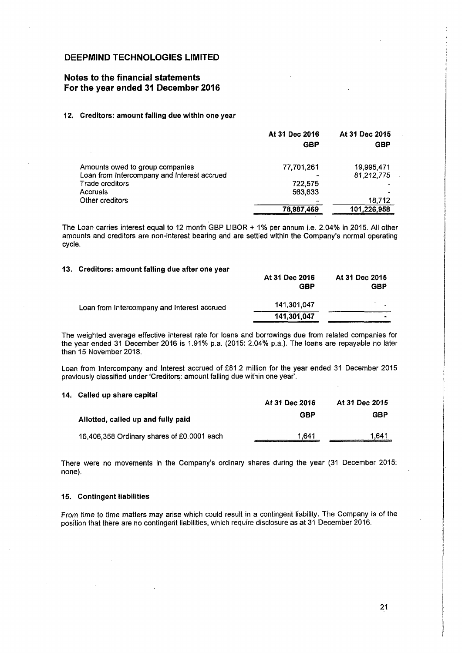## Notes to the financial statements For the year ended <sup>31</sup> December2016

#### 12. Creditors: amount falling due within one year

| EPMIND TECHNOLOGIES LIMITED                                                                                                                                                                         |                              |                              |
|-----------------------------------------------------------------------------------------------------------------------------------------------------------------------------------------------------|------------------------------|------------------------------|
| es to the financial statements<br>the year ended 31 December 2016                                                                                                                                   |                              |                              |
| Creditors: amount falling due within one year                                                                                                                                                       |                              |                              |
|                                                                                                                                                                                                     | At 31 Dec 2016<br><b>GBP</b> | At 31 Dec 2015<br>GBP        |
| Amounts owed to group companies<br>Loan from Intercompany and Interest accrued                                                                                                                      | 77,701,261                   | 19,995,471<br>81,212,775     |
| Trade creditors<br>Accruals<br>Other creditors                                                                                                                                                      | 722,575<br>563,633           |                              |
|                                                                                                                                                                                                     | 78,987,469                   | 18,712<br>101,226,958        |
| Loan carries interest equal to 12 month GBP LIBOR + 1% per annum i.e. 2.04% in 2015. All other<br>ints and creditors are non-interest bearing and are settled within the Company's normal operating |                              |                              |
| Creditors: amount falling due after one year                                                                                                                                                        |                              |                              |
|                                                                                                                                                                                                     | At 31 Dec 2016<br><b>GBP</b> | At 31 Dec 2015<br><b>GBP</b> |
| Loan from Intercompany and Interest accrued                                                                                                                                                         | 141,301,047                  |                              |

The Loan carries interest equal to <sup>12</sup> month GBP LIBOR <sup>+</sup> 1% per annum i.e. 2.04% in 2015. All other amounts and creditors are non-interest bearing and are settled within the Company's normal operating cycle.

## 13. Creditors: amount falling due after one year

|                                             | At 31 Dec 2016<br>GBP | At 31 Dec 2015<br>GBP    |
|---------------------------------------------|-----------------------|--------------------------|
| Loan from Intercompany and Interest accrued | 141.301.047           | $\overline{\phantom{a}}$ |
|                                             | 141,301,047           |                          |

The weighted average effective interest rate for loans and borrowings due from related companies for the year ended 31 December 2016 is 1.91% p.a. (2015: 2.04% p.a.). The loans are repayable no later than 15 November 2018.

Loan from Intercompany and Interest accrued of £81.2 million for the year ended 31 December 2015 previously classified under 'Creditors: amount falling due within one year'.

## 14: Called up share capital

|                                            | At 31 Dec 2016 | At 31 Dec 2015 |
|--------------------------------------------|----------------|----------------|
| Allotted, called up and fully paid         | GBP            | <b>GBP</b>     |
| 16,406,358 Ordinary shares of £0.0001 each | 1.641          | 1.641          |

There were no movements in the Company's ordinary shares during the year (31 December 2015: none).

#### 15. Contingent liabilities

From time to time matters may arise which could result in a contingentliability. The Company is of the position that there are no contingent liabilities, which require disclosure as at 31 December 2016.

L